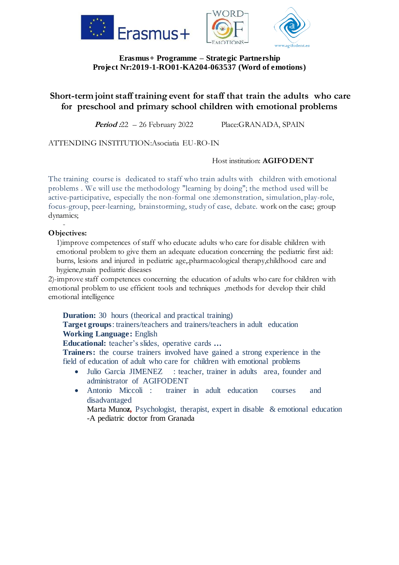

## **Erasmus+ Programme – Strategic Partnership Project Nr:2019-1-RO01-KA204-063537 (Word of emotions)**

# **Short-term joint staff training event for staff that train the adults who care for preschool and primary school children with emotional problems**

Period :22 – 26 February 2022 Place:GRANADA, SPAIN

ATTENDING INSTITUTION:Asociatia EU-RO-IN

### Host institution: **AGIFODENT**

The training course is dedicated to staff who train adults with children with emotional problems . We will use the methodology "learning by doing"; the method used will be active-participative, especially the non-formal one :demonstration, simulation, play-role, focus-group, peer-learning, brainstorming, study of case, debate. work on the case; group dynamics;

#### - **Objectives:**

1)improve competences of staff who educate adults who care for disable children with emotional problem to give them an adequate education concerning the pediatric first aid: burns, lesions and injured in pediatric age, pharmacological therapy, childhood care and hygiene,main pediatric diseases

2)-improve staff competences concerning the education of adults who care for children with emotional problem to use efficient tools and techniques ,methods for develop their child emotional intelligence

**Duration:** 30 hours (theorical and practical training)

**Target groups**: trainers/teachers and trainers/teachers in adult education **Working Language:** English

**Educational:** teacher's slides, operative cards **…**

**Trainers:** the course trainers involved have gained a strong experience in the field of education of adult who care for children with emotional problems

- Julio Garcia JIMENEZ : teacher, trainer in adults area, founder and administrator of AGIFODENT
- Antonio Miccoli : trainer in adult education courses and disadvantaged

Marta Muno**z,** Psychologist, therapist, expert in disable & emotional education -A pediatric doctor from Granada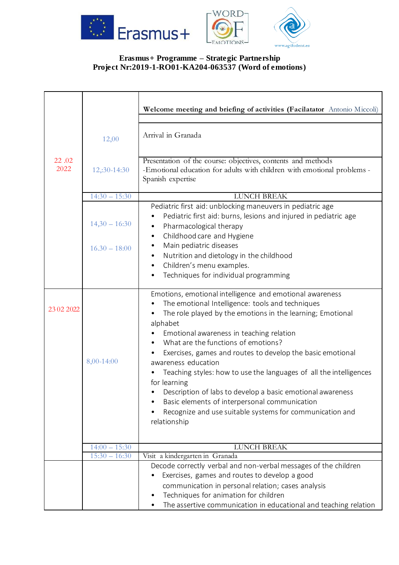

# **Erasmus+ Programme – Strategic Partnership Project Nr:2019-1-RO01-KA204-063537 (Word of emotions)**

|               |                 | Welcome meeting and briefing of activities (Facilatator Antonio Miccoli)                                                                                                                                                                                                                                                                                                                                                                                                                                                                                                                                                                        |
|---------------|-----------------|-------------------------------------------------------------------------------------------------------------------------------------------------------------------------------------------------------------------------------------------------------------------------------------------------------------------------------------------------------------------------------------------------------------------------------------------------------------------------------------------------------------------------------------------------------------------------------------------------------------------------------------------------|
|               | 12,00           | Arrival in Granada                                                                                                                                                                                                                                                                                                                                                                                                                                                                                                                                                                                                                              |
| 22.02<br>2022 | 12,:30-14:30    | Presentation of the course: objectives, contents and methods<br>-Emotional education for adults with children with emotional problems -<br>Spanish expertise                                                                                                                                                                                                                                                                                                                                                                                                                                                                                    |
|               | $14:30 - 15:30$ | <b>LUNCH BREAK</b>                                                                                                                                                                                                                                                                                                                                                                                                                                                                                                                                                                                                                              |
|               | $14,30 - 16:30$ | Pediatric first aid: unblocking maneuvers in pediatric age<br>Pediatric first aid: burns, lesions and injured in pediatric age<br>Pharmacological therapy<br>Childhood care and Hygiene<br>$\bullet$                                                                                                                                                                                                                                                                                                                                                                                                                                            |
|               | $16.30 - 18:00$ | Main pediatric diseases<br>$\bullet$<br>Nutrition and dietology in the childhood<br>$\bullet$<br>Children's menu examples.<br>Techniques for individual programming<br>$\bullet$                                                                                                                                                                                                                                                                                                                                                                                                                                                                |
| 23 02 2022    | 8,00-14:00      | Emotions, emotional intelligence and emotional awareness<br>The emotional Intelligence: tools and techniques<br>The role played by the emotions in the learning; Emotional<br>alphabet<br>Emotional awareness in teaching relation<br>What are the functions of emotions?<br>Exercises, games and routes to develop the basic emotional<br>awareness education<br>Teaching styles: how to use the languages of all the intelligences<br>for learning<br>Description of labs to develop a basic emotional awareness<br>Basic elements of interpersonal communication<br>Recognize and use suitable systems for communication and<br>relationship |
|               | $14:00 - 15:30$ | <b>LUNCH BREAK</b>                                                                                                                                                                                                                                                                                                                                                                                                                                                                                                                                                                                                                              |
|               | $15:30 - 16:30$ | Visit a kindergarten in Granada                                                                                                                                                                                                                                                                                                                                                                                                                                                                                                                                                                                                                 |
|               |                 | Decode correctly verbal and non-verbal messages of the children<br>Exercises, games and routes to develop a good<br>communication in personal relation; cases analysis<br>Techniques for animation for children<br>The assertive communication in educational and teaching relation                                                                                                                                                                                                                                                                                                                                                             |